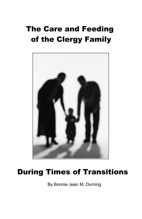# The Care and Feeding of the Clergy Family



# During Times of Transitions

By Bonnie Jean M. Durning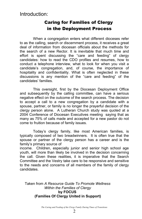## Caring for Families of Clergy in the Deployment Process

When a congregation enters what different dioceses refer to as the calling, search or discernment process, it receives a great deal of information from diocesan officials about the methods for the search of a new Rector. It is inevitable that much time and effort is spent discussing the "care and feeding" of clergy candidates: how to read the CDO profiles and resumes, how to conduct a telephone interview, what to look for when you visit a candidate's congregation, and, of course, the importance of hospitality and confidentiality. What is often neglected in these discussions is any mention of the "care and feeding" of the candidates' families.

This oversight, first by the Diocesan Deployment Office and subsequently by the calling committee, can have a serious negative effect on the outcome of the search process. The decision to accept a call to a new congregation by a candidate with a spouse, partner, or family is no longer the prayerful decision of the clergy person alone. A Lutheran Church study was quoted at a 2004 Conference of Diocesan Executives meeting saying that as many as 75% of calls made and accepted for a new pastor do not come to fruition because of family issues.

Today's clergy family, like most American families, is typically composed of two breadwinners. It is often true that the spouse or partner of the clergy person has a career and is the family's primary source of

income. Children, especially junior and senior high school age youth, will more than likely be involved in the decision concerning the call. Given these realities, it is imperative that the Search Committee and the Vestry take care to be responsive and sensitive to the needs and concerns of all members of the family of clergy candidates.

Taken from *A Resource Guide To Promote Wellness Within the Families of Clergy* **by FOCUS (Families Of Clergy United in Support)**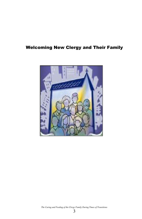### Welcoming New Clergy and Their Family



*The Caring and Feeding of the Clergy Family During Times of Transitions*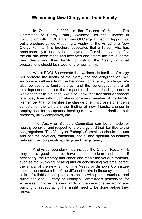#### **Welcoming New Clergy and Their Family**

In October of 2003, in the Diocese of Maine, "The Committee of Clergy Family Wellness" for the Diocese in conjunction with FOCUS: Families Of Clergy United in Support put out a brochure called Preparing a Vestry for the Arrival of a New Clergy Family. This brochure advocates that a liaison who has been specially trained by the deployment office visit the vestry after the call has been made and accepted and before the arrival of the new clergy and their family to instruct the Vestry in what preparations should be made for the new family.

We at FOCUS advocate that wellness in families of clergy will promote the health of the clergy and the congregation. We encourage wellness from the beginning for a family of clergy. We also believe that family, clergy, and the congregations are all interdependent entities that impact each other leading each to wholeness or to dis-ease. We also know that transition or change is a busy time with much stress for every member of the family. Remember that for families the change often involves a change in schools for the children, the finding of new friends, change in employment for the spouse, locating of new doctors, dentists, hair dressers, utility companies, etc.

The Vestry or Bishop's Committee can be a model of healthy behavior and respect for the clergy and their families to the congregations. The Vestry or Bishop's Committee should discuss and set the physical, emotional, social and spiritual boundaries between the congregation, clergy and clergy family.

A physical boundary may include the Church Rectory. It may be a good idea to have someone clean and paint, if necessary, the Rectory and check and repair the various systems, such as the plumbing, heating and air conditioning systems, before the arrival of the new family. The Vestry or Bishop's Committee should then make a list of the different quirks in these systems and a list of reliable repair people complete with phone numbers and guidelines about Vestry or Bishop's Committee's permission for expenses. Involve the new family in the decisions regarding any painting or redecorating that might need to be done before they arrive.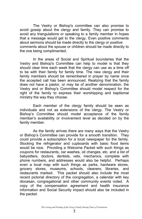The Vestry or Bishop's committee can also promise to avoid gossip about the clergy and family. They can promise to avoid any triangulations or speaking to a family member in hopes that a message would get to the clergy. Even positive comments about sermons should be made directly to the clergy or positive comments about the spouse or children should be made directly to the one being complimented.

In the areas of Social and Spiritual boundaries that the Vestry and Bishop's Committee can help to model is that they should clear time each week that the clergy can use as a time off to be with their family for family time. The new clergy and their family members should be remembered in prayer by name once the accepted call has been announced. Realizing that the family does not have a pastor, or may be of another denomination, the Vestry and or Bishop's Committee should model respect for the right of the family to express their worshipping and baptismal ministry the way they choose.

Each member of the clergy family should be seen as individuals and not as extensions of the clergy. The Vestry or Bishop's Committee should model acceptance of the family member's availability or involvement level as decided on by the family member.

As the family arrives there are many ways that the Vestry or Bishop's Committee can provide for a smooth transition. They could provide a subscription for a local newspaper for the family. Stocking the refrigerator and cupboards with basic food items would be nice. Providing a Welcome Packet with such things as coupons for restaurants, car washes, oil changes, etc. and a list of babysitters, doctors, dentists, vets, mechanics, complete with phone numbers, and addresses would also be helpful. Perhaps even a local map with such things as parks, hardware stores, grocery stores, museums, schools, cleaners, libraries, and restaurants marked. This packet should also include the most recent pictorial directory of the congregation, a calendar with key diocesan, congregational and other community events noted. A copy of the compensation agreement and health insurance information and Social Security impact should also be included in the packet.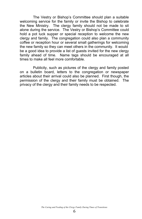The Vestry or Bishop's Committee should plan a suitable welcoming service for the family or invite the Bishop to celebrate the New Ministry. The clergy family should not be made to sit alone during the service. The Vestry or Bishop's Committee could hold a pot luck supper or special reception to welcome the new clergy and family. The congregation could also plan a community coffee or reception hour or several small gatherings for welcoming the new family so they can meet others in the community. It would be a good idea to provide a list of guests invited for the new clergy family ahead of time. Name tags should be encouraged at all times to make all feel more comfortable.

Publicity, such as pictures of the clergy and family posted on a bulletin board, letters to the congregation or newspaper articles about their arrival could also be planned. First though, the permission of the clergy and their family must be obtained. The privacy of the clergy and their family needs to be respected.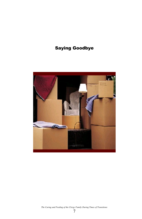## Saying Goodbye



*The Caring and Feeding of the Clergy Family During Times of Transitions*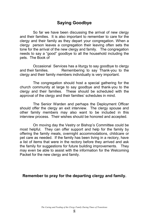#### **Saying Goodbye**

So far we have been discussing the arrival of new clergy and their families. It is also important to remember to care for the clergy and their family as they depart your congregation. When a clergy person leaves a congregation their leaving often sets the tone for the arrival of the new clergy and family. The congregation needs to say a "good" goodbye to all the household including the pets. The Book of

Occasional Services has a liturgy to say goodbye to clergy and their families. Remembering to say Thank-you to the clergy and their family members individually is very important.

The congregation should host a special gathering for the church community at large to say goodbye and thank-you to the clergy and their families. These should be scheduled with the approval of the clergy and their families' schedules in mind.

The Senior Warden and perhaps the Deployment Officer should offer the clergy an exit interview. The clergy spouse and other family members may also want to be included in this interview process. Their wishes should be honored and accepted.

On moving day the Vestry or Bishop's Committee could be most helpful. They can offer support and help for the family by offering the family meals, overnight accommodations, childcare or pet care as needed. If the family has been living in a rectory, have a list of items that were in the rectory before they arrived and ask the family for suggestions for future building improvements. They may even be able to assist with the information for the Welcoming Packet for the new clergy and family.

#### **Remember to pray for the departing clergy and family.**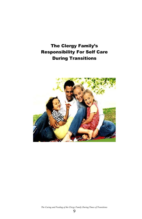## The Clergy Family's Responsibility For Self Care During Transitions



*The Caring and Feeding of the Clergy Family During Times of Transitions*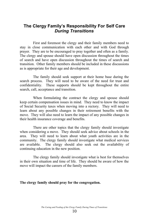#### **The Clergy Family's Responsibility For Self Care** *During Transitions*

First and foremost the clergy and their family members need to stay in close communication with each other and with God through prayer. They are to be encouraged to pray together and often as a family. The clergy and spouse should have open discussion throughout the times of search and have open discussion throughout the times of search and transition. Other family members should be included in these discussions as is appropriate for their age and development.

The family should seek support at their home base during the search process. They will need to be aware of the need for trust and confidentiality. These supports should be kept throughout the entire search, call, acceptance and transition.

When formulating the contract the clergy and spouse should keep certain compensation issues in mind. They need to know the impact of Social Security taxes when moving into a rectory. They will need to learn about any possible changes in their retirement benefits with the move. They will also need to learn the impact of any possible changes in their health insurance coverage and benefits.

There are other topics that the clergy family should investigate when considering a move. They should seek advice about schools in the area. They will need to learn about what youth activities are in the community. The clergy family should investigate what medical services are available. The clergy should also seek out the availability of continuing education in the new position.

The clergy family should investigate what is best for themselves in their own situation and time of life. They should be aware of how the move will impact the careers of the family members.

#### **The clergy family should pray for the congregation.**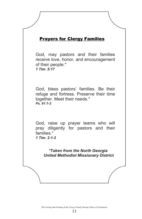### Prayers for Clergy Families

God, may pastors and their families receive love, honor, and encouragement of their people.\* *1 Tim. 5:17*

God, bless pastors' families. Be their refuge and fortress. Preserve their time together. Meet their needs.\* *Ps. 91:1-2*

God, raise up prayer teams who will pray diligently for pastors and their families<sup>\*</sup> *1 Tim. 2:1-2*

*\*Taken from the North Georgia United Methodist Missionary District*